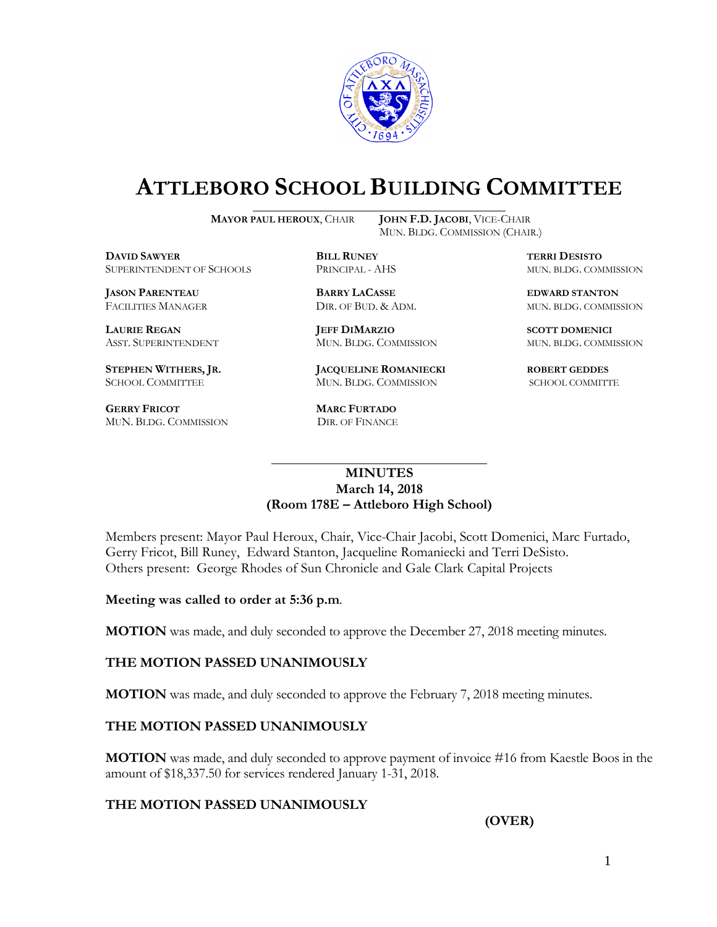

# **ATTLEBORO SCHOOL BUILDING COMMITTEE**

**MAYOR PAUL HEROUX**, CHAIR **JOHN F.D. JACOBI**, VICE-CHAIR

MUN. BLDG. COMMISSION (CHAIR.)

**DAVID SAWYER BILL RUNEY TERRI DESISTO** SUPERINTENDENT OF SCHOOLS PRINCIPAL - AHS MUN. BLDG. COMMISSION

**JASON PARENTEAU BARRY LACASSE EDWARD STANTON**

**GERRY FRICOT MARC FURTADO**  MUN. BLDG. COMMISSION DIR. OF FINANCE

**LAURIE REGAN JEFF DIMARZIO SCOTT DOMENICI** ASST. SUPERINTENDENT MUN. BLDG. COMMISSION MUN. BLDG. COMMISSION

**STEPHEN WITHERS, JR. JACQUELINE ROMANIECKI ROBERT GEDDES** SCHOOL COMMITTEE MUN. BLDG. COMMISSION SCHOOL COMMITTE

FACILITIES MANAGER DIR. OF BUD. & ADM. MUN. BLDG. COMMISSION

#### **MINUTES March 14, 2018 (Room 178E – Attleboro High School)**

\_\_\_\_\_\_\_\_\_\_\_\_\_\_\_\_\_\_\_\_\_\_\_\_\_\_\_\_\_\_\_\_\_\_\_\_\_

Members present: Mayor Paul Heroux, Chair, Vice-Chair Jacobi, Scott Domenici, Marc Furtado, Gerry Fricot, Bill Runey, Edward Stanton, Jacqueline Romaniecki and Terri DeSisto. Others present: George Rhodes of Sun Chronicle and Gale Clark Capital Projects

**Meeting was called to order at 5:36 p.m**.

**MOTION** was made, and duly seconded to approve the December 27, 2018 meeting minutes.

#### **THE MOTION PASSED UNANIMOUSLY**

**MOTION** was made, and duly seconded to approve the February 7, 2018 meeting minutes.

#### **THE MOTION PASSED UNANIMOUSLY**

**MOTION** was made, and duly seconded to approve payment of invoice #16 from Kaestle Boos in the amount of \$18,337.50 for services rendered January 1-31, 2018.

## **THE MOTION PASSED UNANIMOUSLY**

**(OVER)**